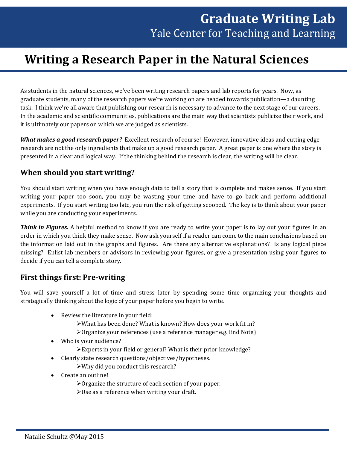# **Writing a Research Paper in the Natural Sciences**

As students in the natural sciences, we've been writing research papers and lab reports for years. Now, as graduate students, many of the research papers we're working on are headed towards publication—a daunting task. I think we're all aware that publishing our research is necessary to advance to the next stage of our careers. In the academic and scientific communities, publications are the main way that scientists publicize their work, and it is ultimately our papers on which we are judged as scientists.

*What makes a good research paper?* Excellent research of course! However, innovative ideas and cutting edge research are not the only ingredients that make up a good research paper. A great paper is one where the story is presented in a clear and logical way. If the thinking behind the research is clear, the writing will be clear.

# **When should you start writing?**

You should start writing when you have enough data to tell a story that is complete and makes sense. If you start writing your paper too soon, you may be wasting your time and have to go back and perform additional experiments. If you start writing too late, you run the risk of getting scooped. The key is to think about your paper while you are conducting your experiments.

*Think in Figures.* A helpful method to know if you are ready to write your paper is to lay out your figures in an order in which you think they make sense. Now ask yourself if a reader can come to the main conclusions based on the information laid out in the graphs and figures. Are there any alternative explanations? Is any logical piece missing? Enlist lab members or advisors in reviewing your figures, or give a presentation using your figures to decide if you can tell a complete story.

## **First things first: Pre-writing**

You will save yourself a lot of time and stress later by spending some time organizing your thoughts and strategically thinking about the logic of your paper before you begin to write.

- Review the literature in your field:
	- What has been done? What is known? How does your work fit in?
	- Organize your references (use a reference manager e.g. End Note)
- Who is your audience?
	- Experts in your field or general? What is their prior knowledge?
- Clearly state research questions/objectives/hypotheses.
	- Why did you conduct this research?
- Create an outline!
	- Organize the structure of each section of your paper.
	- Use as a reference when writing your draft.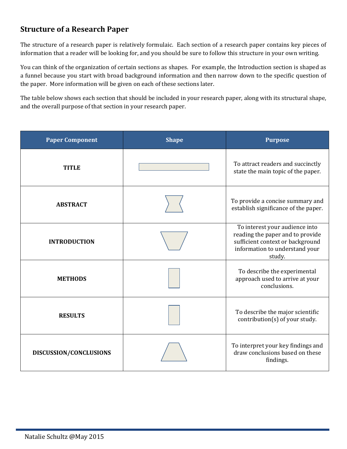# **Structure of a Research Paper**

The structure of a research paper is relatively formulaic. Each section of a research paper contains key pieces of information that a reader will be looking for, and you should be sure to follow this structure in your own writing.

You can think of the organization of certain sections as shapes. For example, the Introduction section is shaped as a funnel because you start with broad background information and then narrow down to the specific question of the paper. More information will be given on each of these sections later.

The table below shows each section that should be included in your research paper, along with its structural shape, and the overall purpose of that section in your research paper.

| <b>Paper Component</b> | <b>Shape</b> | <b>Purpose</b>                                                                                                                                     |
|------------------------|--------------|----------------------------------------------------------------------------------------------------------------------------------------------------|
| <b>TITLE</b>           |              | To attract readers and succinctly<br>state the main topic of the paper.                                                                            |
| <b>ABSTRACT</b>        |              | To provide a concise summary and<br>establish significance of the paper.                                                                           |
| <b>INTRODUCTION</b>    |              | To interest your audience into<br>reading the paper and to provide<br>sufficient context or background<br>information to understand your<br>study. |
| <b>METHODS</b>         |              | To describe the experimental<br>approach used to arrive at your<br>conclusions.                                                                    |
| <b>RESULTS</b>         |              | To describe the major scientific<br>contribution(s) of your study.                                                                                 |
| DISCUSSION/CONCLUSIONS |              | To interpret your key findings and<br>draw conclusions based on these<br>findings.                                                                 |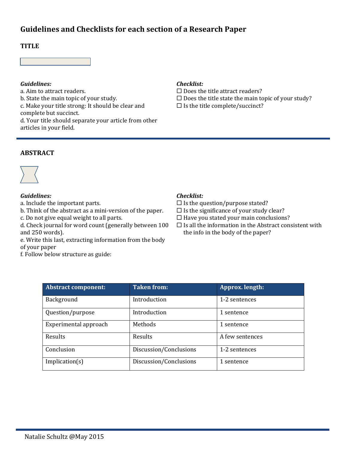# **Guidelines and Checklists for each section of a Research Paper**

### **TITLE**



#### *Guidelines: Checklist:*

a. Aim to attract readers.<br>  $\Box$  Does the title attract readers?<br>  $\Box$  Does the title state the main to be state of your study.<br>  $\Box$  Does the title state the main to c. Make your title strong: It should be clear and complete but succinct. d. Your title should separate your article from other articles in your field.

- $\square$  Does the title state the main topic of your study?
- $\square$  Is the title complete/succinct?

### **ABSTRACT**



#### *Guidelines: Checklist:*

a. Include the important parts.<br>  $\Box$  Is the question/purpose stated?<br>
b. Think of the abstract as a mini-version of the paper.  $\Box$  Is the significance of your study clear? b. Think of the abstract as a mini-version of the paper.<br>
c. Do not give equal weight to all parts.

d. Check journal for word count (generally between 100 and 250 words).

e. Write this last, extracting information from the body of your paper

f. Follow below structure as guide:

- 
- 
- $\square$  Have you stated your main conclusions?
- $\square$  Is all the information in the Abstract consistent with the info in the body of the paper?

| <b>Abstract component:</b> | <b>Taken from:</b>     | Approx. length: |
|----------------------------|------------------------|-----------------|
| Background                 | Introduction           | 1-2 sentences   |
| Question/purpose           | Introduction           | 1 sentence      |
| Experimental approach      | Methods                | 1 sentence      |
| Results                    | Results                | A few sentences |
| Conclusion                 | Discussion/Conclusions | 1-2 sentences   |
| Implication(s)             | Discussion/Conclusions | 1 sentence      |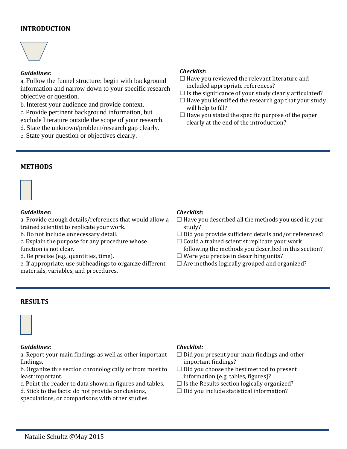### **INTRODUCTION**



#### *Guidelines:*

a. Follow the funnel structure: begin with background information and narrow down to your specific research objective or question.

b. Interest your audience and provide context. c. Provide pertinent background information, but exclude literature outside the scope of your research.

d. State the unknown/problem/research gap clearly.

e. State your question or objectives clearly.

#### *Checklist:*

- $\Box$  Have you reviewed the relevant literature and included appropriate references?
- $\square$  Is the significance of your study clearly articulated?
- $\Box$  Have you identified the research gap that your study will help to fill?
- $\Box$  <br> Have you stated the specific purpose of the paper clearly at the end of the introduction?

#### **METHODS**



#### *Guidelines: Checklist:*

a. Provide enough details/references that would allow a trained scientist to replicate your work.<br>b. Do not include unnecessary detail.

- c. Explain the purpose for any procedure whose function is not clear.<br>d. Be precise (e.g., quantities, time).
- 

e. If appropriate, use subheadings to organize different materials, variables, and procedures.

- $\Box$  Have you described all the methods you used in your study?
- $\Box$  Did you provide sufficient details and/or references?
- $\square$  Could a trained scientist replicate your work following the methods you described in this section?
- $\Box$  Were you precise in describing units?
- $\Box$  Are methods logically grouped and organized?

#### **RESULTS**



#### *Guidelines: Checklist:*

a. Report your main findings as well as other important findings.

b. Organize this section chronologically or from most to least important.

c. Point the reader to data shown in figures and tables.

d. Stick to the facts: do not provide conclusions,

speculations, or comparisons with other studies.

- $\Box$  Did you present your main findings and other important findings?
- Did you choose the best method to present information (e.g. tables, figures)?<br> $\square$  Is the Results section logically organized?
- 
- $\Box$  Did you include statistical information?